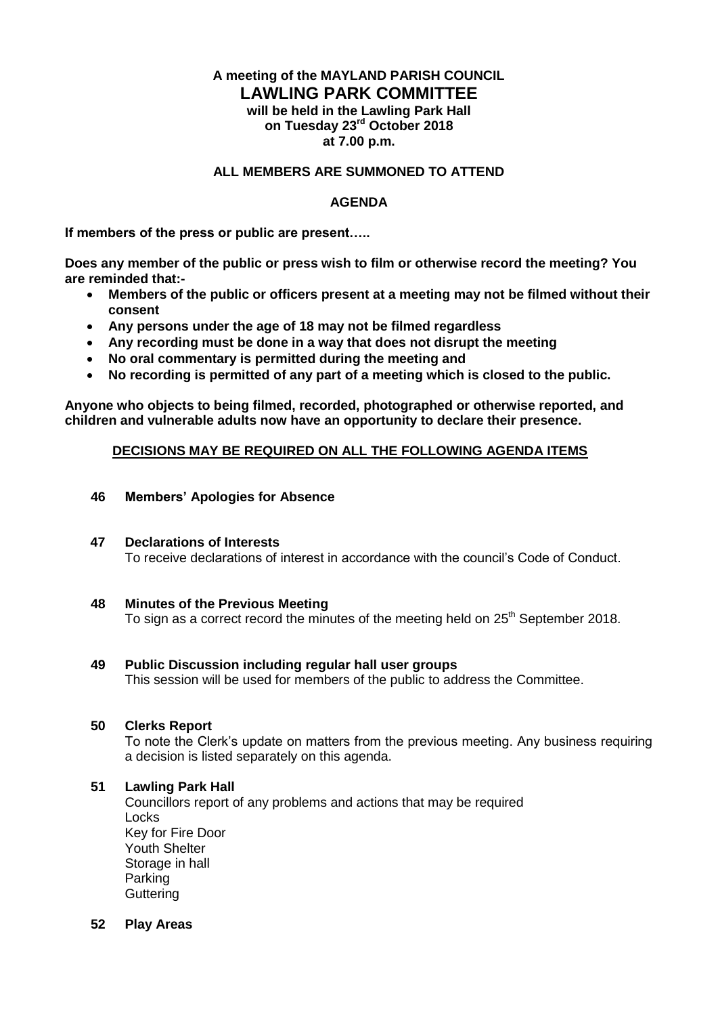## **A meeting of the MAYLAND PARISH COUNCIL LAWLING PARK COMMITTEE will be held in the Lawling Park Hall on Tuesday 23rd October 2018 at 7.00 p.m.**

## **ALL MEMBERS ARE SUMMONED TO ATTEND**

## **AGENDA**

**If members of the press or public are present…..**

**Does any member of the public or press wish to film or otherwise record the meeting? You are reminded that:-**

- **Members of the public or officers present at a meeting may not be filmed without their consent**
- **Any persons under the age of 18 may not be filmed regardless**
- **Any recording must be done in a way that does not disrupt the meeting**
- **No oral commentary is permitted during the meeting and**
- **No recording is permitted of any part of a meeting which is closed to the public.**

**Anyone who objects to being filmed, recorded, photographed or otherwise reported, and children and vulnerable adults now have an opportunity to declare their presence.**

### **DECISIONS MAY BE REQUIRED ON ALL THE FOLLOWING AGENDA ITEMS**

### **46 Members' Apologies for Absence**

#### **47 Declarations of Interests** To receive declarations of interest in accordance with the council's Code of Conduct.

**48 Minutes of the Previous Meeting** 

To sign as a correct record the minutes of the meeting held on 25<sup>th</sup> September 2018.

#### **49 Public Discussion including regular hall user groups**

This session will be used for members of the public to address the Committee.

## **50 Clerks Report**

To note the Clerk's update on matters from the previous meeting. Any business requiring a decision is listed separately on this agenda.

#### **51 Lawling Park Hall**

Councillors report of any problems and actions that may be required Locks Key for Fire Door Youth Shelter Storage in hall Parking **Guttering** 

#### **52 Play Areas**